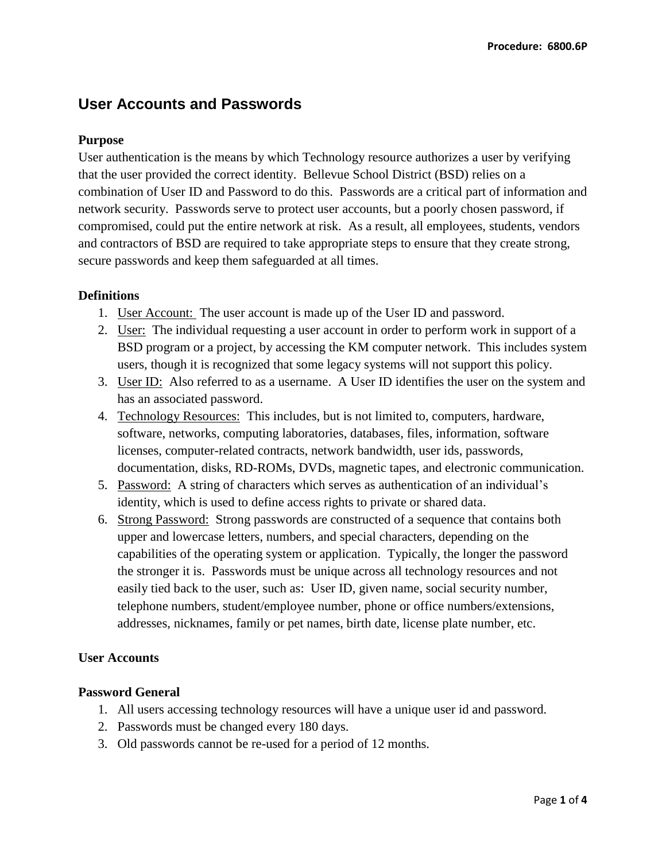# **User Accounts and Passwords**

## **Purpose**

User authentication is the means by which Technology resource authorizes a user by verifying that the user provided the correct identity. Bellevue School District (BSD) relies on a combination of User ID and Password to do this. Passwords are a critical part of information and network security. Passwords serve to protect user accounts, but a poorly chosen password, if compromised, could put the entire network at risk. As a result, all employees, students, vendors and contractors of BSD are required to take appropriate steps to ensure that they create strong, secure passwords and keep them safeguarded at all times.

# **Definitions**

- 1. User Account: The user account is made up of the User ID and password.
- 2. User: The individual requesting a user account in order to perform work in support of a BSD program or a project, by accessing the KM computer network. This includes system users, though it is recognized that some legacy systems will not support this policy.
- 3. User ID: Also referred to as a username. A User ID identifies the user on the system and has an associated password.
- 4. Technology Resources: This includes, but is not limited to, computers, hardware, software, networks, computing laboratories, databases, files, information, software licenses, computer-related contracts, network bandwidth, user ids, passwords, documentation, disks, RD-ROMs, DVDs, magnetic tapes, and electronic communication.
- 5. Password: A string of characters which serves as authentication of an individual's identity, which is used to define access rights to private or shared data.
- 6. Strong Password: Strong passwords are constructed of a sequence that contains both upper and lowercase letters, numbers, and special characters, depending on the capabilities of the operating system or application. Typically, the longer the password the stronger it is. Passwords must be unique across all technology resources and not easily tied back to the user, such as: User ID, given name, social security number, telephone numbers, student/employee number, phone or office numbers/extensions, addresses, nicknames, family or pet names, birth date, license plate number, etc.

## **User Accounts**

## **Password General**

- 1. All users accessing technology resources will have a unique user id and password.
- 2. Passwords must be changed every 180 days.
- 3. Old passwords cannot be re-used for a period of 12 months.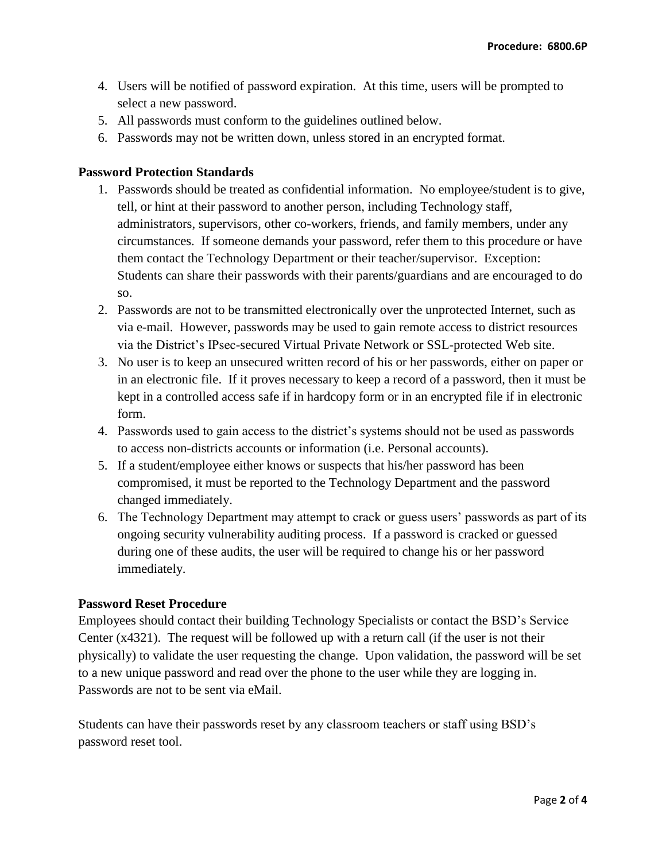- 4. Users will be notified of password expiration. At this time, users will be prompted to select a new password.
- 5. All passwords must conform to the guidelines outlined below.
- 6. Passwords may not be written down, unless stored in an encrypted format.

#### **Password Protection Standards**

- 1. Passwords should be treated as confidential information. No employee/student is to give, tell, or hint at their password to another person, including Technology staff, administrators, supervisors, other co-workers, friends, and family members, under any circumstances. If someone demands your password, refer them to this procedure or have them contact the Technology Department or their teacher/supervisor. Exception: Students can share their passwords with their parents/guardians and are encouraged to do so.
- 2. Passwords are not to be transmitted electronically over the unprotected Internet, such as via e-mail. However, passwords may be used to gain remote access to district resources via the District's IPsec-secured Virtual Private Network or SSL-protected Web site.
- 3. No user is to keep an unsecured written record of his or her passwords, either on paper or in an electronic file. If it proves necessary to keep a record of a password, then it must be kept in a controlled access safe if in hardcopy form or in an encrypted file if in electronic form.
- 4. Passwords used to gain access to the district's systems should not be used as passwords to access non-districts accounts or information (i.e. Personal accounts).
- 5. If a student/employee either knows or suspects that his/her password has been compromised, it must be reported to the Technology Department and the password changed immediately.
- 6. The Technology Department may attempt to crack or guess users' passwords as part of its ongoing security vulnerability auditing process. If a password is cracked or guessed during one of these audits, the user will be required to change his or her password immediately.

#### **Password Reset Procedure**

Employees should contact their building Technology Specialists or contact the BSD's Service Center (x4321). The request will be followed up with a return call (if the user is not their physically) to validate the user requesting the change. Upon validation, the password will be set to a new unique password and read over the phone to the user while they are logging in. Passwords are not to be sent via eMail.

Students can have their passwords reset by any classroom teachers or staff using BSD's password reset tool.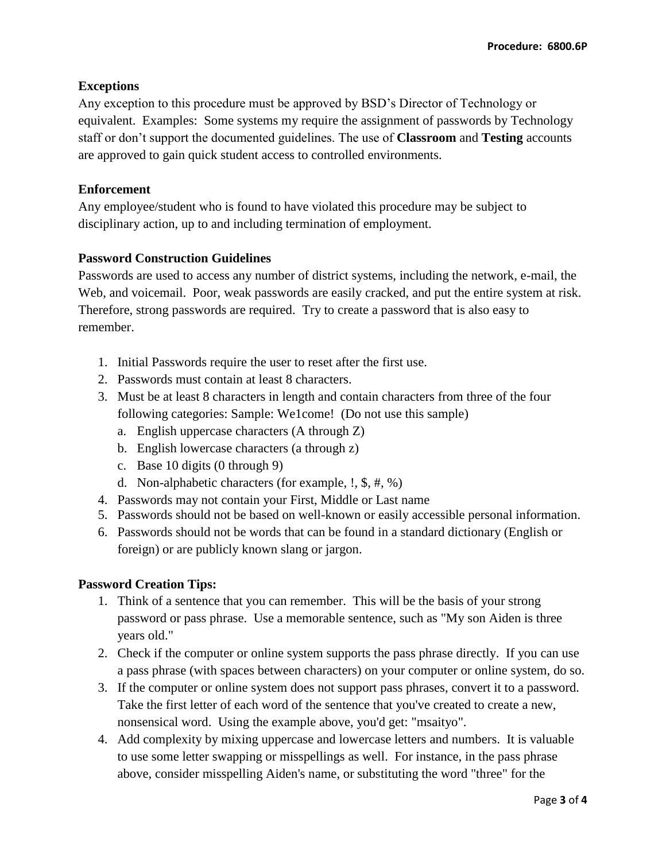# **Exceptions**

Any exception to this procedure must be approved by BSD's Director of Technology or equivalent. Examples: Some systems my require the assignment of passwords by Technology staff or don't support the documented guidelines. The use of **Classroom** and **Testing** accounts are approved to gain quick student access to controlled environments.

## **Enforcement**

Any employee/student who is found to have violated this procedure may be subject to disciplinary action, up to and including termination of employment.

# **Password Construction Guidelines**

Passwords are used to access any number of district systems, including the network, e-mail, the Web, and voicemail. Poor, weak passwords are easily cracked, and put the entire system at risk. Therefore, strong passwords are required. Try to create a password that is also easy to remember.

- 1. Initial Passwords require the user to reset after the first use.
- 2. Passwords must contain at least 8 characters.
- 3. Must be at least 8 characters in length and contain characters from three of the four following categories: Sample: We1come! (Do not use this sample)
	- a. English uppercase characters (A through Z)
	- b. English lowercase characters (a through z)
	- c. Base 10 digits (0 through 9)
	- d. Non-alphabetic characters (for example, !, \$, #, %)
- 4. Passwords may not contain your First, Middle or Last name
- 5. Passwords should not be based on well-known or easily accessible personal information.
- 6. Passwords should not be words that can be found in a standard dictionary (English or foreign) or are publicly known slang or jargon.

## **Password Creation Tips:**

- 1. Think of a sentence that you can remember. This will be the basis of your strong password or pass phrase. Use a memorable sentence, such as "My son Aiden is three years old."
- 2. Check if the computer or online system supports the pass phrase directly. If you can use a pass phrase (with spaces between characters) on your computer or online system, do so.
- 3. If the computer or online system does not support pass phrases, convert it to a password. Take the first letter of each word of the sentence that you've created to create a new, nonsensical word. Using the example above, you'd get: "msaityo".
- 4. Add complexity by mixing uppercase and lowercase letters and numbers. It is valuable to use some letter swapping or misspellings as well. For instance, in the pass phrase above, consider misspelling Aiden's name, or substituting the word "three" for the